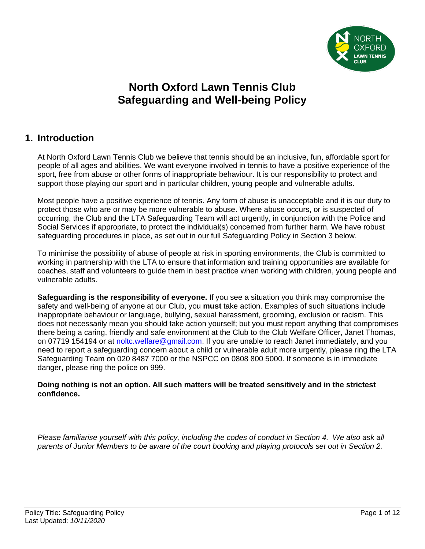

# **North Oxford Lawn Tennis Club Safeguarding and Well-being Policy**

# **1. Introduction**

At North Oxford Lawn Tennis Club we believe that tennis should be an inclusive, fun, affordable sport for people of all ages and abilities. We want everyone involved in tennis to have a positive experience of the sport, free from abuse or other forms of inappropriate behaviour. It is our responsibility to protect and support those playing our sport and in particular children, young people and vulnerable adults.

Most people have a positive experience of tennis. Any form of abuse is unacceptable and it is our duty to protect those who are or may be more vulnerable to abuse. Where abuse occurs, or is suspected of occurring, the Club and the LTA Safeguarding Team will act urgently, in conjunction with the Police and Social Services if appropriate, to protect the individual(s) concerned from further harm. We have robust safeguarding procedures in place, as set out in our full Safeguarding Policy in Section 3 below.

To minimise the possibility of abuse of people at risk in sporting environments, the Club is committed to working in partnership with the LTA to ensure that information and training opportunities are available for coaches, staff and volunteers to guide them in best practice when working with children, young people and vulnerable adults.

**Safeguarding is the responsibility of everyone.** If you see a situation you think may compromise the safety and well-being of anyone at our Club, you **must** take action. Examples of such situations include inappropriate behaviour or language, bullying, sexual harassment, grooming, exclusion or racism. This does not necessarily mean you should take action yourself; but you must report anything that compromises there being a caring, friendly and safe environment at the Club to the Club Welfare Officer, Janet Thomas, on 07719 154194 or at [noltc.welfare@gmail.com.](mailto:noltc.welfare@gmail.com) If you are unable to reach Janet immediately, and you need to report a safeguarding concern about a child or vulnerable adult more urgently, please ring the LTA Safeguarding Team on 020 8487 7000 or the NSPCC on 0808 800 5000. If someone is in immediate danger, please ring the police on 999.

#### **Doing nothing is not an option. All such matters will be treated sensitively and in the strictest confidence.**

*Please familiarise yourself with this policy, including the codes of conduct in Section 4. We also ask all parents of Junior Members to be aware of the court booking and playing protocols set out in Section 2.*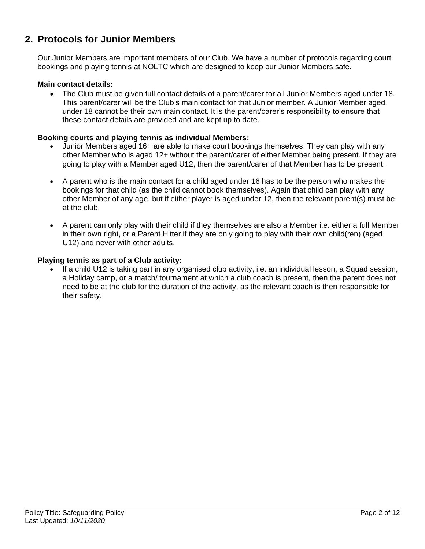# **2. Protocols for Junior Members**

Our Junior Members are important members of our Club. We have a number of protocols regarding court bookings and playing tennis at NOLTC which are designed to keep our Junior Members safe.

#### **Main contact details:**

• The Club must be given full contact details of a parent/carer for all Junior Members aged under 18. This parent/carer will be the Club's main contact for that Junior member. A Junior Member aged under 18 cannot be their own main contact. It is the parent/carer's responsibility to ensure that these contact details are provided and are kept up to date.

#### **Booking courts and playing tennis as individual Members:**

- Junior Members aged 16+ are able to make court bookings themselves. They can play with any other Member who is aged 12+ without the parent/carer of either Member being present. If they are going to play with a Member aged U12, then the parent/carer of that Member has to be present.
- A parent who is the main contact for a child aged under 16 has to be the person who makes the bookings for that child (as the child cannot book themselves). Again that child can play with any other Member of any age, but if either player is aged under 12, then the relevant parent(s) must be at the club.
- A parent can only play with their child if they themselves are also a Member i.e. either a full Member in their own right, or a Parent Hitter if they are only going to play with their own child(ren) (aged U12) and never with other adults.

#### **Playing tennis as part of a Club activity:**

• If a child U12 is taking part in any organised club activity, i.e. an individual lesson, a Squad session, a Holiday camp, or a match/ tournament at which a club coach is present, then the parent does not need to be at the club for the duration of the activity, as the relevant coach is then responsible for their safety.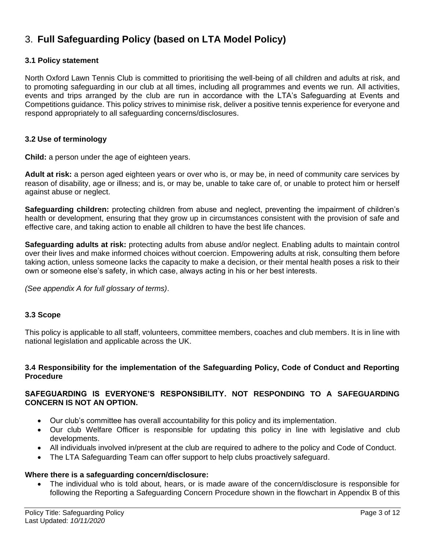# 3. **Full Safeguarding Policy (based on LTA Model Policy)**

#### **3.1 Policy statement**

North Oxford Lawn Tennis Club is committed to prioritising the well-being of all children and adults at risk, and to promoting safeguarding in our club at all times, including all programmes and events we run. All activities, events and trips arranged by the club are run in accordance with the LTA's Safeguarding at Events and Competitions guidance. This policy strives to minimise risk, deliver a positive tennis experience for everyone and respond appropriately to all safeguarding concerns/disclosures.

#### **3.2 Use of terminology**

**Child:** a person under the age of eighteen years.

**Adult at risk:** a person aged eighteen years or over who is, or may be, in need of community care services by reason of disability, age or illness; and is, or may be, unable to take care of, or unable to protect him or herself against abuse or neglect.

**Safeguarding children:** protecting children from abuse and neglect, preventing the impairment of children's health or development, ensuring that they grow up in circumstances consistent with the provision of safe and effective care, and taking action to enable all children to have the best life chances.

**Safeguarding adults at risk:** protecting adults from abuse and/or neglect. Enabling adults to maintain control over their lives and make informed choices without coercion. Empowering adults at risk, consulting them before taking action, unless someone lacks the capacity to make a decision, or their mental health poses a risk to their own or someone else's safety, in which case, always acting in his or her best interests.

*(See appendix A for full glossary of terms)*.

#### **3.3 Scope**

This policy is applicable to all staff, volunteers, committee members, coaches and club members. It is in line with national legislation and applicable across the UK.

#### **3.4 Responsibility for the implementation of the Safeguarding Policy, Code of Conduct and Reporting Procedure**

#### **SAFEGUARDING IS EVERYONE'S RESPONSIBILITY. NOT RESPONDING TO A SAFEGUARDING CONCERN IS NOT AN OPTION.**

- Our club's committee has overall accountability for this policy and its implementation.
- Our club Welfare Officer is responsible for updating this policy in line with legislative and club developments.
- All individuals involved in/present at the club are required to adhere to the policy and Code of Conduct.
- The LTA Safeguarding Team can offer support to help clubs proactively safeguard.

#### **Where there is a safeguarding concern/disclosure:**

• The individual who is told about, hears, or is made aware of the concern/disclosure is responsible for following the Reporting a Safeguarding Concern Procedure shown in the flowchart in Appendix B of this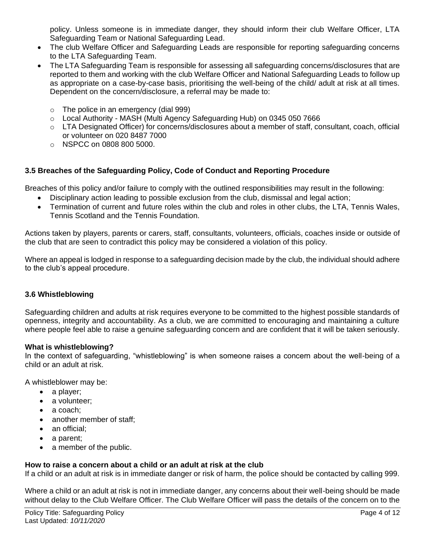policy. Unless someone is in immediate danger, they should inform their club Welfare Officer, LTA Safeguarding Team or National Safeguarding Lead.

- The club Welfare Officer and Safeguarding Leads are responsible for reporting safeguarding concerns to the LTA Safeguarding Team.
- The LTA Safeguarding Team is responsible for assessing all safeguarding concerns/disclosures that are reported to them and working with the club Welfare Officer and National Safeguarding Leads to follow up as appropriate on a case-by-case basis, prioritising the well-being of the child/ adult at risk at all times. Dependent on the concern/disclosure, a referral may be made to:
	- o The police in an emergency (dial 999)
	- o Local Authority MASH (Multi Agency Safeguarding Hub) on 0345 050 7666
	- $\circ$  LTA Designated Officer) for concerns/disclosures about a member of staff, consultant, coach, official or volunteer on 020 8487 7000
	- o NSPCC on 0808 800 5000.

### **3.5 Breaches of the Safeguarding Policy, Code of Conduct and Reporting Procedure**

Breaches of this policy and/or failure to comply with the outlined responsibilities may result in the following:

- Disciplinary action leading to possible exclusion from the club, dismissal and legal action;
- Termination of current and future roles within the club and roles in other clubs, the LTA, Tennis Wales, Tennis Scotland and the Tennis Foundation*.*

Actions taken by players, parents or carers, staff, consultants, volunteers, officials, coaches inside or outside of the club that are seen to contradict this policy may be considered a violation of this policy.

Where an appeal is lodged in response to a safeguarding decision made by the club, the individual should adhere to the club's appeal procedure.

### **3.6 Whistleblowing**

Safeguarding children and adults at risk requires everyone to be committed to the highest possible standards of openness, integrity and accountability. As a club, we are committed to encouraging and maintaining a culture where people feel able to raise a genuine safeguarding concern and are confident that it will be taken seriously.

#### **What is whistleblowing?**

In the context of safeguarding, "whistleblowing" is when someone raises a concern about the well-being of a child or an adult at risk.

A whistleblower may be:

- a player;
- a volunteer;
- a coach:
- another member of staff;
- an official:
- a parent;
- a member of the public.

#### **How to raise a concern about a child or an adult at risk at the club**

If a child or an adult at risk is in immediate danger or risk of harm, the police should be contacted by calling 999.

Where a child or an adult at risk is not in immediate danger, any concerns about their well-being should be made without delay to the Club Welfare Officer. The Club Welfare Officer will pass the details of the concern on to the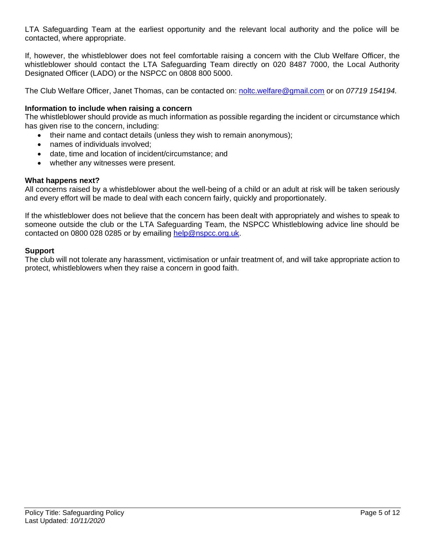LTA Safeguarding Team at the earliest opportunity and the relevant local authority and the police will be contacted, where appropriate.

If, however, the whistleblower does not feel comfortable raising a concern with the Club Welfare Officer, the whistleblower should contact the LTA Safeguarding Team directly on 020 8487 7000, the Local Authority Designated Officer (LADO) or the NSPCC on 0808 800 5000.

The Club Welfare Officer, Janet Thomas, can be contacted on: [noltc.welfare@gmail.com](mailto:noltc.welfare@gmail.com) or on *07719 154194.*

#### **Information to include when raising a concern**

The whistleblower should provide as much information as possible regarding the incident or circumstance which has given rise to the concern, including:

- their name and contact details (unless they wish to remain anonymous);
- names of individuals involved;
- date, time and location of incident/circumstance; and
- whether any witnesses were present.

#### **What happens next?**

All concerns raised by a whistleblower about the well-being of a child or an adult at risk will be taken seriously and every effort will be made to deal with each concern fairly, quickly and proportionately.

If the whistleblower does not believe that the concern has been dealt with appropriately and wishes to speak to someone outside the club or the LTA Safeguarding Team, the NSPCC Whistleblowing advice line should be contacted on 0800 028 0285 or by emailing [help@nspcc.org.uk.](mailto:help@nspcc.org.uk)

#### **Support**

The club will not tolerate any harassment, victimisation or unfair treatment of, and will take appropriate action to protect, whistleblowers when they raise a concern in good faith.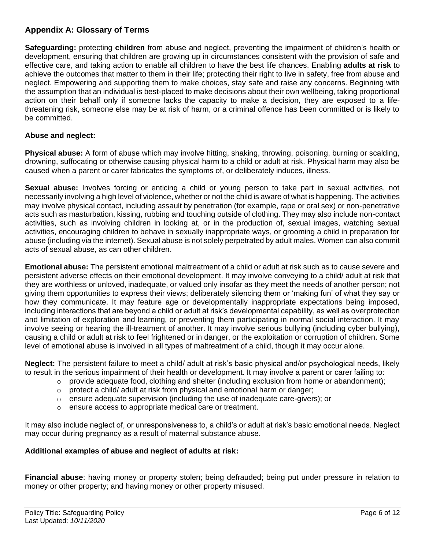## **Appendix A: Glossary of Terms**

**Safeguarding:** protecting **children** from abuse and neglect, preventing the impairment of children's health or development, ensuring that children are growing up in circumstances consistent with the provision of safe and effective care, and taking action to enable all children to have the best life chances. Enabling **adults at risk** to achieve the outcomes that matter to them in their life; protecting their right to live in safety, free from abuse and neglect. Empowering and supporting them to make choices, stay safe and raise any concerns. Beginning with the assumption that an individual is best-placed to make decisions about their own wellbeing, taking proportional action on their behalf only if someone lacks the capacity to make a decision, they are exposed to a lifethreatening risk, someone else may be at risk of harm, or a criminal offence has been committed or is likely to be committed.

### **Abuse and neglect:**

**Physical abuse:** A form of abuse which may involve hitting, shaking, throwing, poisoning, burning or scalding, drowning, suffocating or otherwise causing physical harm to a child or adult at risk. Physical harm may also be caused when a parent or carer fabricates the symptoms of, or deliberately induces, illness.

**Sexual abuse:** Involves forcing or enticing a child or young person to take part in sexual activities, not necessarily involving a high level of violence, whether or not the child is aware of what is happening. The activities may involve physical contact, including assault by penetration (for example, rape or oral sex) or non-penetrative acts such as masturbation, kissing, rubbing and touching outside of clothing. They may also include non-contact activities, such as involving children in looking at, or in the production of, sexual images, watching sexual activities, encouraging children to behave in sexually inappropriate ways, or grooming a child in preparation for abuse (including via the internet). Sexual abuse is not solely perpetrated by adult males. Women can also commit acts of sexual abuse, as can other children.

**Emotional abuse:** The persistent emotional maltreatment of a child or adult at risk such as to cause severe and persistent adverse effects on their emotional development. It may involve conveying to a child/ adult at risk that they are worthless or unloved, inadequate, or valued only insofar as they meet the needs of another person; not giving them opportunities to express their views; deliberately silencing them or 'making fun' of what they say or how they communicate. It may feature age or developmentally inappropriate expectations being imposed, including interactions that are beyond a child or adult at risk's developmental capability, as well as overprotection and limitation of exploration and learning, or preventing them participating in normal social interaction. It may involve seeing or hearing the ill-treatment of another. It may involve serious bullying (including cyber bullying), causing a child or adult at risk to feel frightened or in danger, or the exploitation or corruption of children. Some level of emotional abuse is involved in all types of maltreatment of a child, though it may occur alone.

**Neglect:** The persistent failure to meet a child/ adult at risk's basic physical and/or psychological needs, likely to result in the serious impairment of their health or development. It may involve a parent or carer failing to:

- o provide adequate food, clothing and shelter (including exclusion from home or abandonment);
- $\circ$  protect a child/ adult at risk from physical and emotional harm or danger;
- $\circ$  ensure adequate supervision (including the use of inadequate care-givers); or
- ensure access to appropriate medical care or treatment.

It may also include neglect of, or unresponsiveness to, a child's or adult at risk's basic emotional needs. Neglect may occur during pregnancy as a result of maternal substance abuse.

#### **Additional examples of abuse and neglect of adults at risk:**

**Financial abuse**: having money or property stolen; being defrauded; being put under pressure in relation to money or other property; and having money or other property misused.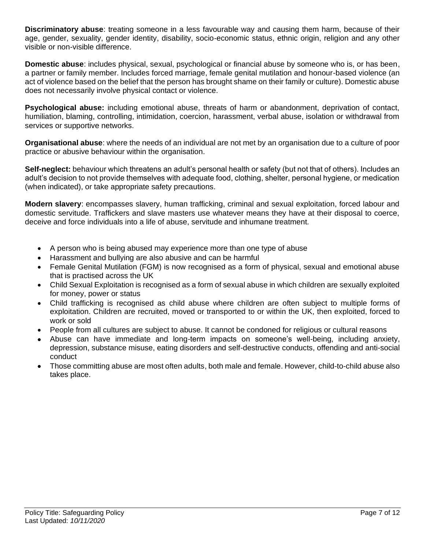**Discriminatory abuse**: treating someone in a less favourable way and causing them harm, because of their age, gender, sexuality, gender identity, disability, socio-economic status, ethnic origin, religion and any other visible or non-visible difference.

**Domestic abuse**: includes physical, sexual, psychological or financial abuse by someone who is, or has been, a partner or family member. Includes forced marriage, female genital mutilation and honour-based violence (an act of violence based on the belief that the person has brought shame on their family or culture). Domestic abuse does not necessarily involve physical contact or violence.

**Psychological abuse:** including emotional abuse, threats of harm or abandonment, deprivation of contact, humiliation, blaming, controlling, intimidation, coercion, harassment, verbal abuse, isolation or withdrawal from services or supportive networks.

**Organisational abuse**: where the needs of an individual are not met by an organisation due to a culture of poor practice or abusive behaviour within the organisation.

**Self-neglect:** behaviour which threatens an adult's personal health or safety (but not that of others). Includes an adult's decision to not provide themselves with adequate food, clothing, shelter, personal hygiene, or medication (when indicated), or take appropriate safety precautions.

**Modern slavery**: encompasses slavery, human trafficking, criminal and sexual exploitation, forced labour and domestic servitude. Traffickers and slave masters use whatever means they have at their disposal to coerce, deceive and force individuals into a life of abuse, servitude and inhumane treatment.

- A person who is being abused may experience more than one type of abuse
- Harassment and bullying are also abusive and can be harmful
- Female Genital Mutilation (FGM) is now recognised as a form of physical, sexual and emotional abuse that is practised across the UK
- Child Sexual Exploitation is recognised as a form of sexual abuse in which children are sexually exploited for money, power or status
- Child trafficking is recognised as child abuse where children are often subject to multiple forms of exploitation. Children are recruited, moved or transported to or within the UK, then exploited, forced to work or sold
- People from all cultures are subject to abuse. It cannot be condoned for religious or cultural reasons
- Abuse can have immediate and long-term impacts on someone's well-being, including anxiety, depression, substance misuse, eating disorders and self-destructive conducts, offending and anti-social conduct
- Those committing abuse are most often adults, both male and female. However, child-to-child abuse also takes place.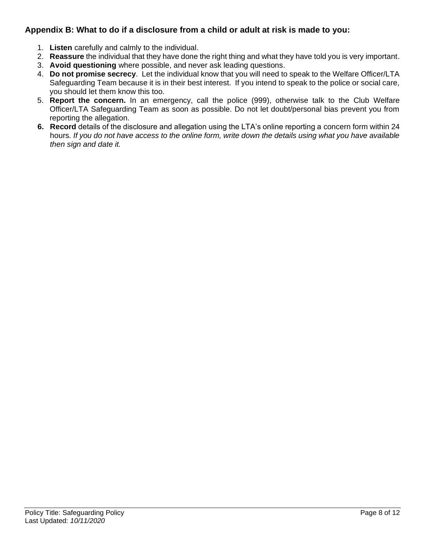## **Appendix B: What to do if a disclosure from a child or adult at risk is made to you:**

- 1. **Listen** carefully and calmly to the individual.
- 2. **Reassure** the individual that they have done the right thing and what they have told you is very important.
- 3. **Avoid questioning** where possible, and never ask leading questions.
- 4. **Do not promise secrecy**. Let the individual know that you will need to speak to the Welfare Officer/LTA Safeguarding Team because it is in their best interest. If you intend to speak to the police or social care, you should let them know this too.
- 5. **Report the concern.** In an emergency, call the police (999), otherwise talk to the Club Welfare Officer/LTA Safeguarding Team as soon as possible. Do not let doubt/personal bias prevent you from reporting the allegation.
- **6. Record** details of the disclosure and allegation using the LTA's online reporting a concern form within 24 hours*. If you do not have access to the online form, write down the details using what you have available then sign and date it.*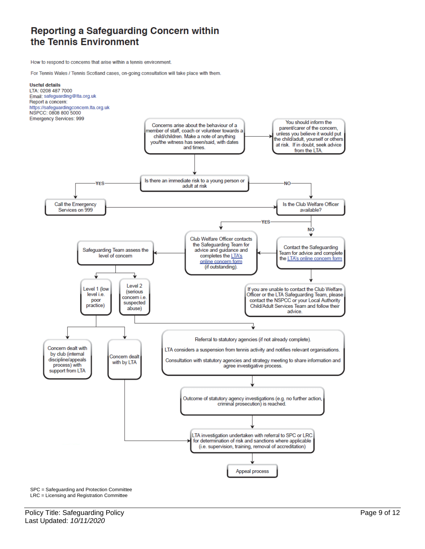# Reporting a Safeguarding Concern within the Tennis Environment

How to respond to concerns that arise within a tennis environment.

For Tennis Wales / Tennis Scotland cases, on-going consultation will take place with them.



SPC = Safeguarding and Protection Committee LRC = Licensing and Registration Committee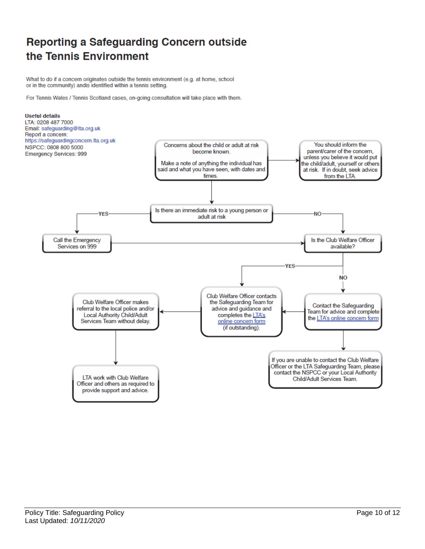# **Reporting a Safeguarding Concern outside** the Tennis Environment

What to do if a concern originates outside the tennis environment (e.g. at home, school or in the community) andis identified within a tennis setting.

For Tennis Wales / Tennis Scotland cases, on-going consultation will take place with them.

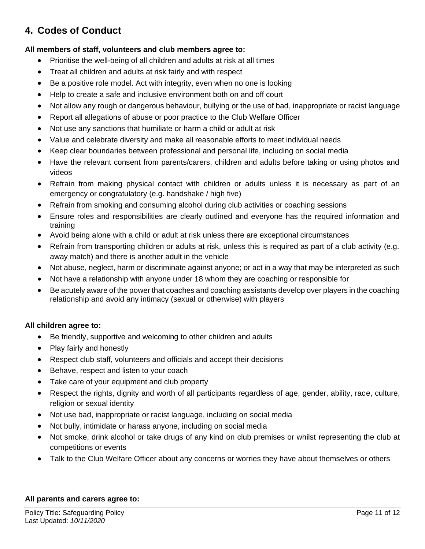# **4. Codes of Conduct**

### **All members of staff, volunteers and club members agree to:**

- Prioritise the well-being of all children and adults at risk at all times
- Treat all children and adults at risk fairly and with respect
- Be a positive role model. Act with integrity, even when no one is looking
- Help to create a safe and inclusive environment both on and off court
- Not allow any rough or dangerous behaviour, bullying or the use of bad, inappropriate or racist language
- Report all allegations of abuse or poor practice to the Club Welfare Officer
- Not use any sanctions that humiliate or harm a child or adult at risk
- Value and celebrate diversity and make all reasonable efforts to meet individual needs
- Keep clear boundaries between professional and personal life, including on social media
- Have the relevant consent from parents/carers, children and adults before taking or using photos and videos
- Refrain from making physical contact with children or adults unless it is necessary as part of an emergency or congratulatory (e.g. handshake / high five)
- Refrain from smoking and consuming alcohol during club activities or coaching sessions
- Ensure roles and responsibilities are clearly outlined and everyone has the required information and training
- Avoid being alone with a child or adult at risk unless there are exceptional circumstances
- Refrain from transporting children or adults at risk, unless this is required as part of a club activity (e.g. away match) and there is another adult in the vehicle
- Not abuse, neglect, harm or discriminate against anyone; or act in a way that may be interpreted as such
- Not have a relationship with anyone under 18 whom they are coaching or responsible for
- Be acutely aware of the power that coaches and coaching assistants develop over players in the coaching relationship and avoid any intimacy (sexual or otherwise) with players

### **All children agree to:**

- Be friendly, supportive and welcoming to other children and adults
- Play fairly and honestly
- Respect club staff, volunteers and officials and accept their decisions
- Behave, respect and listen to your coach
- Take care of your equipment and club property
- Respect the rights, dignity and worth of all participants regardless of age, gender, ability, race, culture, religion or sexual identity
- Not use bad, inappropriate or racist language, including on social media
- Not bully, intimidate or harass anyone, including on social media
- Not smoke, drink alcohol or take drugs of any kind on club premises or whilst representing the club at competitions or events
- Talk to the Club Welfare Officer about any concerns or worries they have about themselves or others